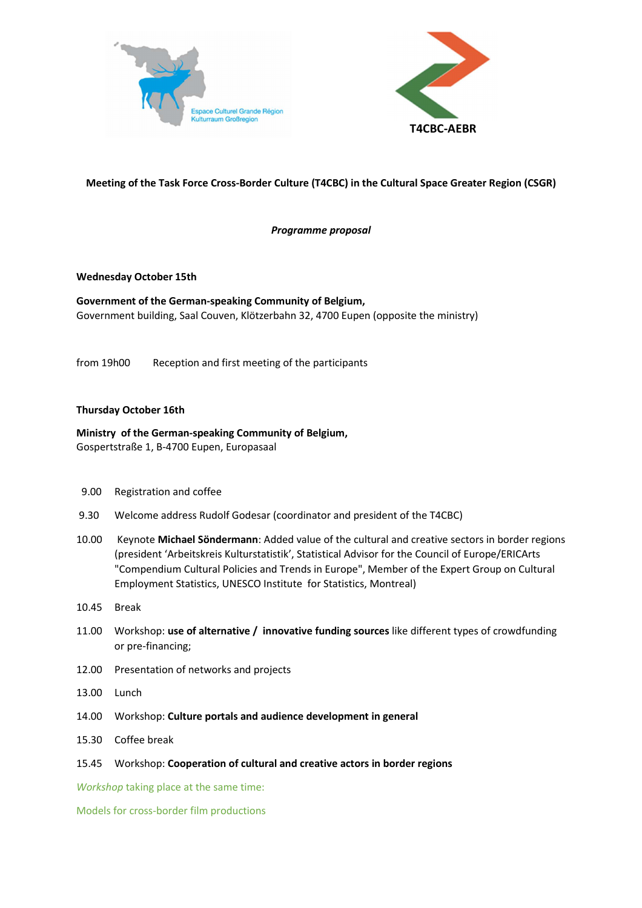



# **Meeting of the Task Force Cross-Border Culture (T4CBC) in the Cultural Space Greater Region (CSGR)**

*Programme proposal* 

### **Wednesday October 15th**

**Government of the German-speaking Community of Belgium,**  Government building, Saal Couven, Klötzerbahn 32, 4700 Eupen (opposite the ministry)

from 19h00 Reception and first meeting of the participants

## **Thursday October 16th**

**Ministry of the German-speaking Community of Belgium,**  Gospertstraße 1, B-4700 Eupen, Europasaal

- 9.00 Registration and coffee
- 9.30 Welcome address Rudolf Godesar (coordinator and president of the T4CBC)
- 10.00 Keynote **Michael Söndermann**: Added value of the cultural and creative sectors in border regions (president 'Arbeitskreis Kulturstatistik', Statistical Advisor for the Council of Europe/ERICArts "Compendium Cultural Policies and Trends in Europe", Member of the Expert Group on Cultural Employment Statistics, UNESCO Institute for Statistics, Montreal)
- 10.45 Break
- 11.00 Workshop: **use of alternative / innovative funding sources** like different types of crowdfunding or pre-financing;
- 12.00 Presentation of networks and projects
- 13.00 Lunch
- 14.00 Workshop: **Culture portals and audience development in general**
- 15.30 Coffee break
- 15.45 Workshop: **Cooperation of cultural and creative actors in border regions**

*Workshop* taking place at the same time:

Models for cross-border film productions